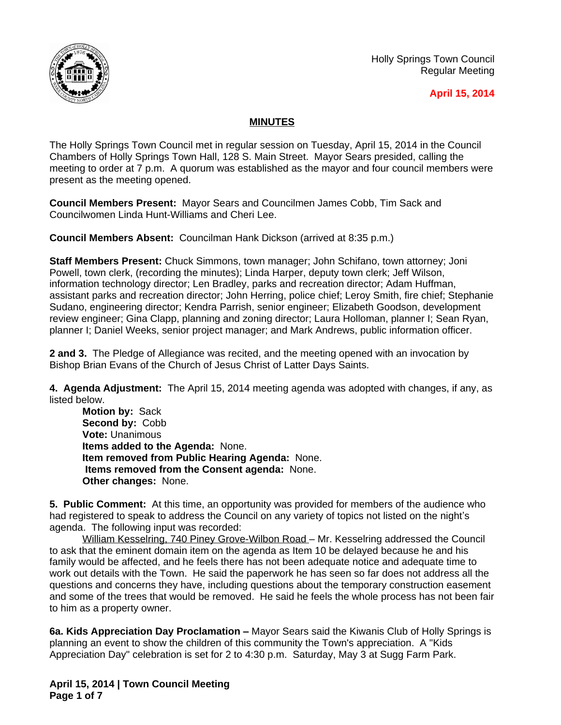

Holly Springs Town Council Regular Meeting

## **April 15, 2014**

# **MINUTES**

The Holly Springs Town Council met in regular session on Tuesday, April 15, 2014 in the Council Chambers of Holly Springs Town Hall, 128 S. Main Street. Mayor Sears presided, calling the meeting to order at 7 p.m. A quorum was established as the mayor and four council members were present as the meeting opened.

**Council Members Present:** Mayor Sears and Councilmen James Cobb, Tim Sack and Councilwomen Linda Hunt-Williams and Cheri Lee.

**Council Members Absent:** Councilman Hank Dickson (arrived at 8:35 p.m.)

**Staff Members Present:** Chuck Simmons, town manager; John Schifano, town attorney; Joni Powell, town clerk, (recording the minutes); Linda Harper, deputy town clerk; Jeff Wilson, information technology director; Len Bradley, parks and recreation director; Adam Huffman, assistant parks and recreation director; John Herring, police chief; Leroy Smith, fire chief; Stephanie Sudano, engineering director; Kendra Parrish, senior engineer; Elizabeth Goodson, development review engineer; Gina Clapp, planning and zoning director; Laura Holloman, planner I; Sean Ryan, planner I; Daniel Weeks, senior project manager; and Mark Andrews, public information officer.

**2 and 3.** The Pledge of Allegiance was recited, and the meeting opened with an invocation by Bishop Brian Evans of the Church of Jesus Christ of Latter Days Saints.

**4. Agenda Adjustment:** The April 15, 2014 meeting agenda was adopted with changes, if any, as listed below.

**Motion by:** Sack **Second by:** Cobb **Vote:** Unanimous **Items added to the Agenda:** None. **Item removed from Public Hearing Agenda:** None. **Items removed from the Consent agenda:** None. **Other changes:** None.

**5. Public Comment:** At this time, an opportunity was provided for members of the audience who had registered to speak to address the Council on any variety of topics not listed on the night's agenda. The following input was recorded:

William Kesselring, 740 Piney Grove-Wilbon Road - Mr. Kesselring addressed the Council to ask that the eminent domain item on the agenda as Item 10 be delayed because he and his family would be affected, and he feels there has not been adequate notice and adequate time to work out details with the Town. He said the paperwork he has seen so far does not address all the questions and concerns they have, including questions about the temporary construction easement and some of the trees that would be removed. He said he feels the whole process has not been fair to him as a property owner.

**6a. Kids Appreciation Day Proclamation –** Mayor Sears said the Kiwanis Club of Holly Springs is planning an event to show the children of this community the Town's appreciation. A "Kids Appreciation Day" celebration is set for 2 to 4:30 p.m. Saturday, May 3 at Sugg Farm Park.

**April 15, 2014 | Town Council Meeting Page 1 of 7**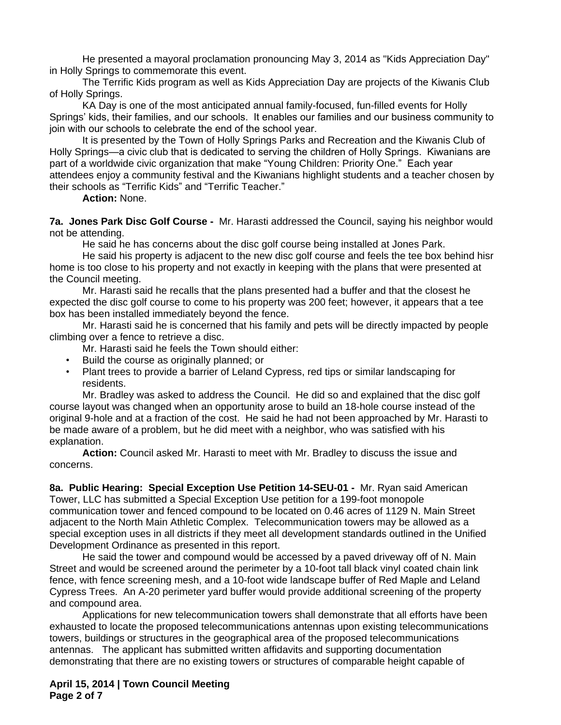He presented a mayoral proclamation pronouncing May 3, 2014 as "Kids Appreciation Day" in Holly Springs to commemorate this event.

The Terrific Kids program as well as Kids Appreciation Day are projects of the Kiwanis Club of Holly Springs.

KA Day is one of the most anticipated annual family-focused, fun-filled events for Holly Springs' kids, their families, and our schools. It enables our families and our business community to join with our schools to celebrate the end of the school year.

It is presented by the Town of Holly Springs Parks and Recreation and the Kiwanis Club of Holly Springs—a civic club that is dedicated to serving the children of Holly Springs. Kiwanians are part of a worldwide civic organization that make "Young Children: Priority One." Each year attendees enjoy a community festival and the Kiwanians highlight students and a teacher chosen by their schools as "Terrific Kids" and "Terrific Teacher."

**Action:** None.

**7a. Jones Park Disc Golf Course -** Mr. Harasti addressed the Council, saying his neighbor would not be attending.

He said he has concerns about the disc golf course being installed at Jones Park.

He said his property is adjacent to the new disc golf course and feels the tee box behind hisr home is too close to his property and not exactly in keeping with the plans that were presented at the Council meeting.

Mr. Harasti said he recalls that the plans presented had a buffer and that the closest he expected the disc golf course to come to his property was 200 feet; however, it appears that a tee box has been installed immediately beyond the fence.

Mr. Harasti said he is concerned that his family and pets will be directly impacted by people climbing over a fence to retrieve a disc.

Mr. Harasti said he feels the Town should either:

- Build the course as originally planned; or
- Plant trees to provide a barrier of Leland Cypress, red tips or similar landscaping for residents.

Mr. Bradley was asked to address the Council. He did so and explained that the disc golf course layout was changed when an opportunity arose to build an 18-hole course instead of the original 9-hole and at a fraction of the cost. He said he had not been approached by Mr. Harasti to be made aware of a problem, but he did meet with a neighbor, who was satisfied with his explanation.

**Action:** Council asked Mr. Harasti to meet with Mr. Bradley to discuss the issue and concerns.

**8a. Public Hearing: Special Exception Use Petition 14-SEU-01 -** Mr. Ryan said American Tower, LLC has submitted a Special Exception Use petition for a 199-foot monopole communication tower and fenced compound to be located on 0.46 acres of 1129 N. Main Street adjacent to the North Main Athletic Complex. Telecommunication towers may be allowed as a special exception uses in all districts if they meet all development standards outlined in the Unified Development Ordinance as presented in this report.

He said the tower and compound would be accessed by a paved driveway off of N. Main Street and would be screened around the perimeter by a 10-foot tall black vinyl coated chain link fence, with fence screening mesh, and a 10-foot wide landscape buffer of Red Maple and Leland Cypress Trees. An A-20 perimeter yard buffer would provide additional screening of the property and compound area.

Applications for new telecommunication towers shall demonstrate that all efforts have been exhausted to locate the proposed telecommunications antennas upon existing telecommunications towers, buildings or structures in the geographical area of the proposed telecommunications antennas. The applicant has submitted written affidavits and supporting documentation demonstrating that there are no existing towers or structures of comparable height capable of

**April 15, 2014 | Town Council Meeting Page 2 of 7**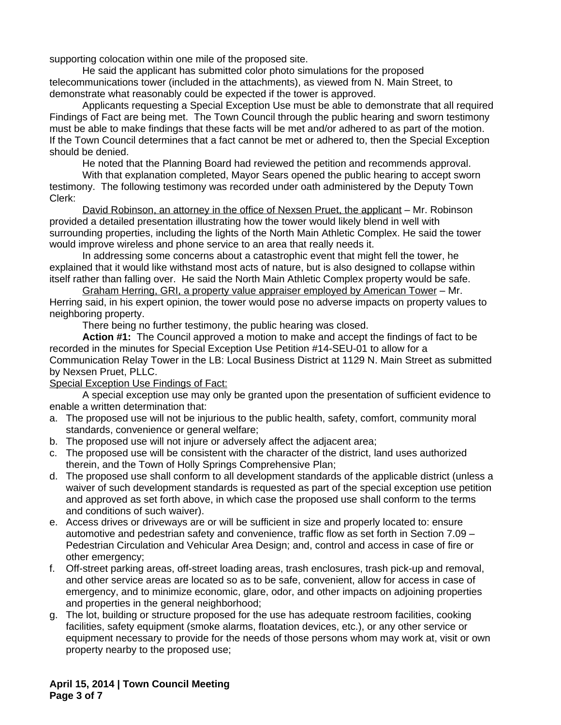supporting colocation within one mile of the proposed site.

He said the applicant has submitted color photo simulations for the proposed telecommunications tower (included in the attachments), as viewed from N. Main Street, to demonstrate what reasonably could be expected if the tower is approved.

Applicants requesting a Special Exception Use must be able to demonstrate that all required Findings of Fact are being met. The Town Council through the public hearing and sworn testimony must be able to make findings that these facts will be met and/or adhered to as part of the motion. If the Town Council determines that a fact cannot be met or adhered to, then the Special Exception should be denied.

He noted that the Planning Board had reviewed the petition and recommends approval.

With that explanation completed, Mayor Sears opened the public hearing to accept sworn testimony. The following testimony was recorded under oath administered by the Deputy Town Clerk:

David Robinson, an attorney in the office of Nexsen Pruet, the applicant – Mr. Robinson provided a detailed presentation illustrating how the tower would likely blend in well with surrounding properties, including the lights of the North Main Athletic Complex. He said the tower would improve wireless and phone service to an area that really needs it.

In addressing some concerns about a catastrophic event that might fell the tower, he explained that it would like withstand most acts of nature, but is also designed to collapse within itself rather than falling over. He said the North Main Athletic Complex property would be safe.

Graham Herring, GRI, a property value appraiser employed by American Tower – Mr. Herring said, in his expert opinion, the tower would pose no adverse impacts on property values to neighboring property.

There being no further testimony, the public hearing was closed.

**Action #1:** The Council approved a motion to make and accept the findings of fact to be recorded in the minutes for Special Exception Use Petition #14-SEU-01 to allow for a Communication Relay Tower in the LB: Local Business District at 1129 N. Main Street as submitted by Nexsen Pruet, PLLC.

### Special Exception Use Findings of Fact:

A special exception use may only be granted upon the presentation of sufficient evidence to enable a written determination that:

- a. The proposed use will not be injurious to the public health, safety, comfort, community moral standards, convenience or general welfare;
- b. The proposed use will not injure or adversely affect the adjacent area;
- c. The proposed use will be consistent with the character of the district, land uses authorized therein, and the Town of Holly Springs Comprehensive Plan;
- d. The proposed use shall conform to all development standards of the applicable district (unless a waiver of such development standards is requested as part of the special exception use petition and approved as set forth above, in which case the proposed use shall conform to the terms and conditions of such waiver).
- e. Access drives or driveways are or will be sufficient in size and properly located to: ensure automotive and pedestrian safety and convenience, traffic flow as set forth in Section 7.09 – Pedestrian Circulation and Vehicular Area Design; and, control and access in case of fire or other emergency;
- f. Off-street parking areas, off-street loading areas, trash enclosures, trash pick-up and removal, and other service areas are located so as to be safe, convenient, allow for access in case of emergency, and to minimize economic, glare, odor, and other impacts on adjoining properties and properties in the general neighborhood;
- g. The lot, building or structure proposed for the use has adequate restroom facilities, cooking facilities, safety equipment (smoke alarms, floatation devices, etc.), or any other service or equipment necessary to provide for the needs of those persons whom may work at, visit or own property nearby to the proposed use;

**April 15, 2014 | Town Council Meeting Page 3 of 7**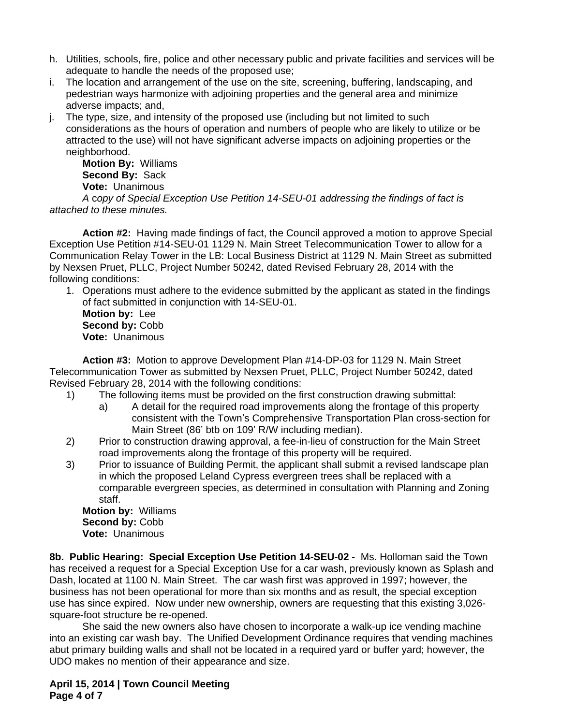- h. Utilities, schools, fire, police and other necessary public and private facilities and services will be adequate to handle the needs of the proposed use;
- i. The location and arrangement of the use on the site, screening, buffering, landscaping, and pedestrian ways harmonize with adjoining properties and the general area and minimize adverse impacts; and,
- j. The type, size, and intensity of the proposed use (including but not limited to such considerations as the hours of operation and numbers of people who are likely to utilize or be attracted to the use) will not have significant adverse impacts on adjoining properties or the neighborhood.

**Motion By:** Williams **Second By:** Sack **Vote:** Unanimous

*A* c*opy of Special Exception Use Petition 14-SEU-01 addressing the findings of fact is attached to these minutes.*

**Action #2:** Having made findings of fact, the Council approved a motion to approve Special Exception Use Petition #14-SEU-01 1129 N. Main Street Telecommunication Tower to allow for a Communication Relay Tower in the LB: Local Business District at 1129 N. Main Street as submitted by Nexsen Pruet, PLLC, Project Number 50242, dated Revised February 28, 2014 with the following conditions:

1. Operations must adhere to the evidence submitted by the applicant as stated in the findings of fact submitted in conjunction with 14-SEU-01.

**Motion by:** Lee **Second by:** Cobb **Vote:** Unanimous

**Action #3:** Motion to approve Development Plan #14-DP-03 for 1129 N. Main Street Telecommunication Tower as submitted by Nexsen Pruet, PLLC, Project Number 50242, dated Revised February 28, 2014 with the following conditions:

- 1) The following items must be provided on the first construction drawing submittal:
	- a) A detail for the required road improvements along the frontage of this property consistent with the Town's Comprehensive Transportation Plan cross-section for Main Street (86' btb on 109' R/W including median).
- 2) Prior to construction drawing approval, a fee-in-lieu of construction for the Main Street road improvements along the frontage of this property will be required.
- 3) Prior to issuance of Building Permit, the applicant shall submit a revised landscape plan in which the proposed Leland Cypress evergreen trees shall be replaced with a comparable evergreen species, as determined in consultation with Planning and Zoning staff.

**Motion by:** Williams **Second by:** Cobb **Vote:** Unanimous

**8b. Public Hearing: Special Exception Use Petition 14-SEU-02 -** Ms. Holloman said the Town has received a request for a Special Exception Use for a car wash, previously known as Splash and Dash, located at 1100 N. Main Street. The car wash first was approved in 1997; however, the business has not been operational for more than six months and as result, the special exception use has since expired. Now under new ownership, owners are requesting that this existing 3,026 square-foot structure be re-opened.

She said the new owners also have chosen to incorporate a walk-up ice vending machine into an existing car wash bay. The Unified Development Ordinance requires that vending machines abut primary building walls and shall not be located in a required yard or buffer yard; however, the UDO makes no mention of their appearance and size.

**April 15, 2014 | Town Council Meeting Page 4 of 7**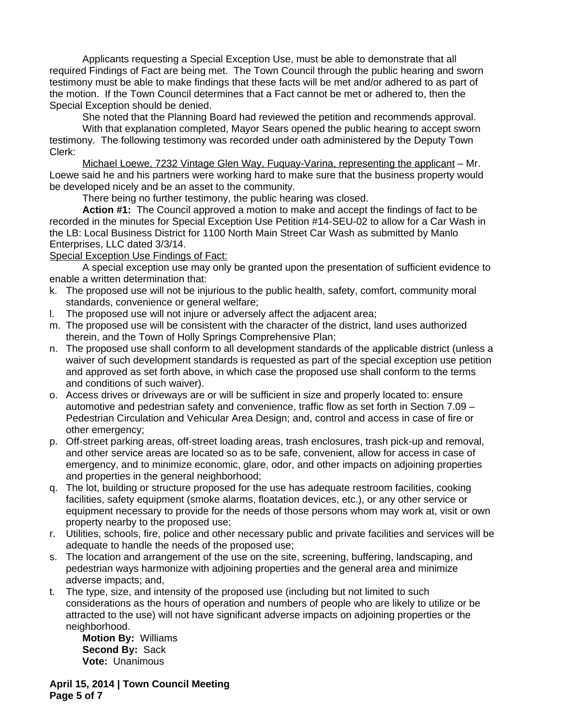Applicants requesting a Special Exception Use, must be able to demonstrate that all required Findings of Fact are being met. The Town Council through the public hearing and sworn testimony must be able to make findings that these facts will be met and/or adhered to as part of the motion. If the Town Council determines that a Fact cannot be met or adhered to, then the Special Exception should be denied.

She noted that the Planning Board had reviewed the petition and recommends approval.

With that explanation completed, Mayor Sears opened the public hearing to accept sworn testimony. The following testimony was recorded under oath administered by the Deputy Town Clerk:

Michael Loewe, 7232 Vintage Glen Way, Fuquay-Varina, representing the applicant – Mr. Loewe said he and his partners were working hard to make sure that the business property would be developed nicely and be an asset to the community.

There being no further testimony, the public hearing was closed.

**Action #1:** The Council approved a motion to make and accept the findings of fact to be recorded in the minutes for Special Exception Use Petition #14-SEU-02 to allow for a Car Wash in the LB: Local Business District for 1100 North Main Street Car Wash as submitted by Manlo Enterprises, LLC dated 3/3/14.

### Special Exception Use Findings of Fact:

A special exception use may only be granted upon the presentation of sufficient evidence to enable a written determination that:

- k. The proposed use will not be injurious to the public health, safety, comfort, community moral standards, convenience or general welfare;
- l. The proposed use will not injure or adversely affect the adjacent area;
- m. The proposed use will be consistent with the character of the district, land uses authorized therein, and the Town of Holly Springs Comprehensive Plan;
- n. The proposed use shall conform to all development standards of the applicable district (unless a waiver of such development standards is requested as part of the special exception use petition and approved as set forth above, in which case the proposed use shall conform to the terms and conditions of such waiver).
- o. Access drives or driveways are or will be sufficient in size and properly located to: ensure automotive and pedestrian safety and convenience, traffic flow as set forth in Section 7.09 – Pedestrian Circulation and Vehicular Area Design; and, control and access in case of fire or other emergency;
- p. Off-street parking areas, off-street loading areas, trash enclosures, trash pick-up and removal, and other service areas are located so as to be safe, convenient, allow for access in case of emergency, and to minimize economic, glare, odor, and other impacts on adjoining properties and properties in the general neighborhood;
- q. The lot, building or structure proposed for the use has adequate restroom facilities, cooking facilities, safety equipment (smoke alarms, floatation devices, etc.), or any other service or equipment necessary to provide for the needs of those persons whom may work at, visit or own property nearby to the proposed use;
- r. Utilities, schools, fire, police and other necessary public and private facilities and services will be adequate to handle the needs of the proposed use;
- s. The location and arrangement of the use on the site, screening, buffering, landscaping, and pedestrian ways harmonize with adjoining properties and the general area and minimize adverse impacts; and,
- t. The type, size, and intensity of the proposed use (including but not limited to such considerations as the hours of operation and numbers of people who are likely to utilize or be attracted to the use) will not have significant adverse impacts on adjoining properties or the neighborhood.

**Motion By:** Williams **Second By:** Sack **Vote:** Unanimous

**April 15, 2014 | Town Council Meeting Page 5 of 7**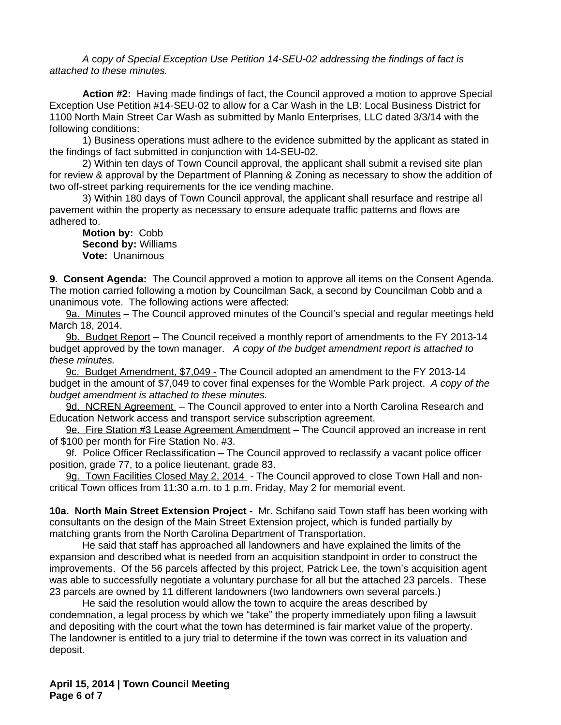*A* c*opy of Special Exception Use Petition 14-SEU-02 addressing the findings of fact is attached to these minutes.*

**Action #2:** Having made findings of fact, the Council approved a motion to approve Special Exception Use Petition #14-SEU-02 to allow for a Car Wash in the LB: Local Business District for 1100 North Main Street Car Wash as submitted by Manlo Enterprises, LLC dated 3/3/14 with the following conditions:

1) Business operations must adhere to the evidence submitted by the applicant as stated in the findings of fact submitted in conjunction with 14-SEU-02.

2) Within ten days of Town Council approval, the applicant shall submit a revised site plan for review & approval by the Department of Planning & Zoning as necessary to show the addition of two off-street parking requirements for the ice vending machine.

3) Within 180 days of Town Council approval, the applicant shall resurface and restripe all pavement within the property as necessary to ensure adequate traffic patterns and flows are adhered to.

**Motion by:** Cobb **Second by:** Williams **Vote:** Unanimous

**9. Consent Agenda:** The Council approved a motion to approve all items on the Consent Agenda. The motion carried following a motion by Councilman Sack, a second by Councilman Cobb and a unanimous vote. The following actions were affected:

9a. Minutes – The Council approved minutes of the Council's special and regular meetings held March 18, 2014.

9b. Budget Report - The Council received a monthly report of amendments to the FY 2013-14 budget approved by the town manager. *A copy of the budget amendment report is attached to these minutes.*

9c. Budget Amendment, \$7,049 - The Council adopted an amendment to the FY 2013-14 budget in the amount of \$7,049 to cover final expenses for the Womble Park project. *A copy of the budget amendment is attached to these minutes.*

9d. NCREN Agreement – The Council approved to enter into a North Carolina Research and Education Network access and transport service subscription agreement.

9e. Fire Station #3 Lease Agreement Amendment – The Council approved an increase in rent of \$100 per month for Fire Station No. #3.

9f. Police Officer Reclassification - The Council approved to reclassify a vacant police officer position, grade 77, to a police lieutenant, grade 83.

9g. Town Facilities Closed May 2, 2014 - The Council approved to close Town Hall and noncritical Town offices from 11:30 a.m. to 1 p.m. Friday, May 2 for memorial event.

**10a. North Main Street Extension Project -** Mr. Schifano said Town staff has been working with consultants on the design of the Main Street Extension project, which is funded partially by matching grants from the North Carolina Department of Transportation.

He said that staff has approached all landowners and have explained the limits of the expansion and described what is needed from an acquisition standpoint in order to construct the improvements. Of the 56 parcels affected by this project, Patrick Lee, the town's acquisition agent was able to successfully negotiate a voluntary purchase for all but the attached 23 parcels. These 23 parcels are owned by 11 different landowners (two landowners own several parcels.)

He said the resolution would allow the town to acquire the areas described by condemnation, a legal process by which we "take" the property immediately upon filing a lawsuit and depositing with the court what the town has determined is fair market value of the property. The landowner is entitled to a jury trial to determine if the town was correct in its valuation and deposit.